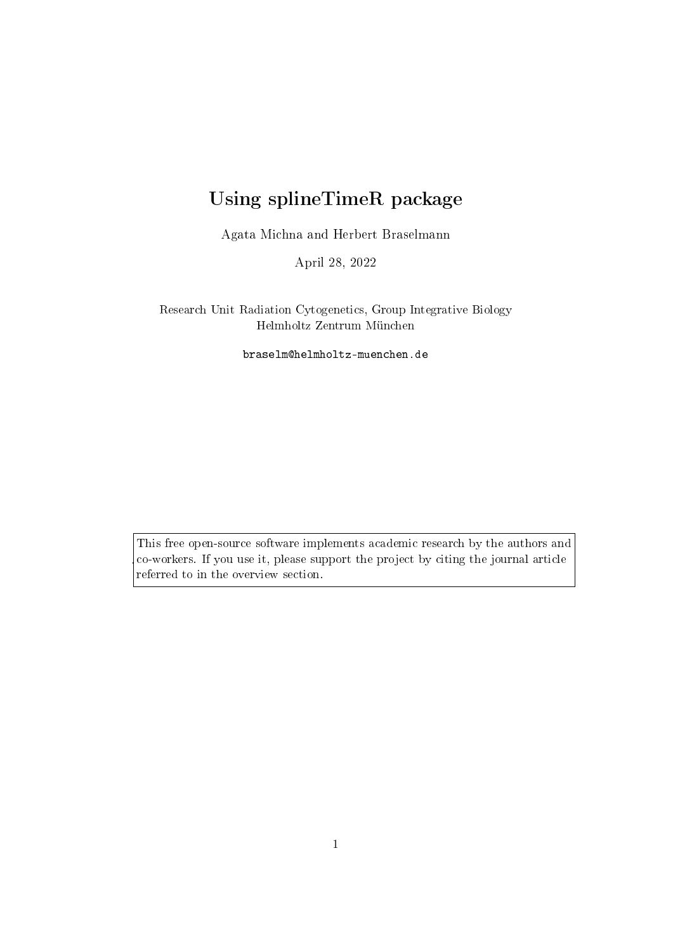# Using splineTimeR package

Agata Michna and Herbert Braselmann

April 28, 2022

Research Unit Radiation Cytogenetics, Group Integrative Biology Helmholtz Zentrum München

braselm@helmholtz-muenchen.de

This free open-source software implements academic research by the authors and co-workers. If you use it, please support the project by citing the journal article referred to in the overview section.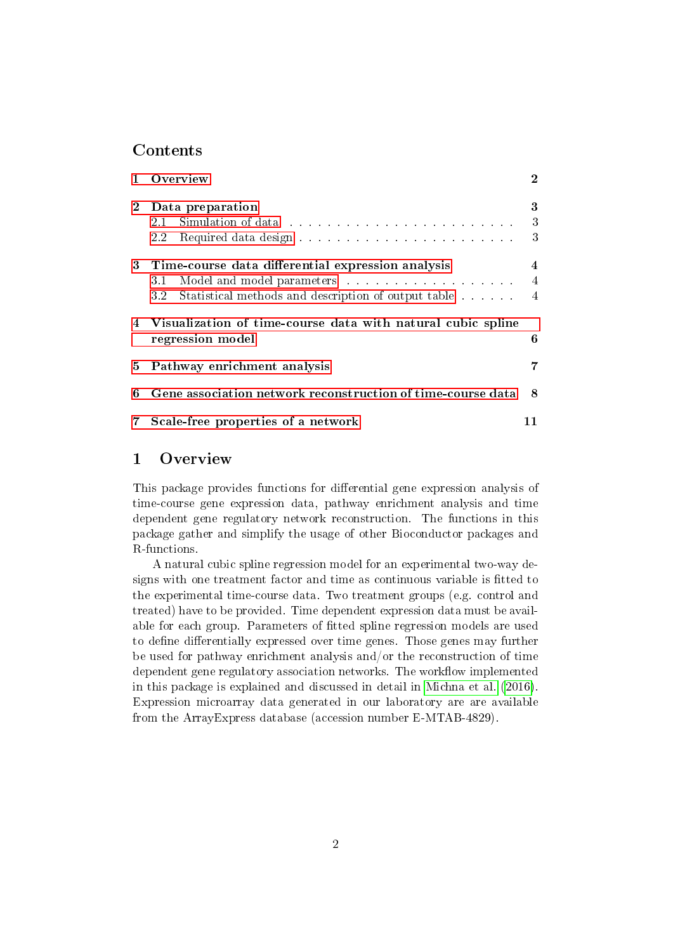## Contents

|                | Overview                                                                                                                                                                                                                            | $\mathbf 2$    |  |  |  |
|----------------|-------------------------------------------------------------------------------------------------------------------------------------------------------------------------------------------------------------------------------------|----------------|--|--|--|
| $\overline{2}$ | Data preparation                                                                                                                                                                                                                    |                |  |  |  |
|                | 2.1                                                                                                                                                                                                                                 | 3              |  |  |  |
|                | $2.2\,$                                                                                                                                                                                                                             | 3              |  |  |  |
|                | 3 Time-course data differential expression analysis                                                                                                                                                                                 |                |  |  |  |
|                | Model and model parameters in the contract of the set of the set of the set of the set of the set of the set of the set of the set of the set of the set of the set of the set of the set of the set of the set of the set of<br>31 | $\overline{4}$ |  |  |  |
|                | 3.2<br>Statistical methods and description of output table                                                                                                                                                                          | $-4$           |  |  |  |
| 4              | Visualization of time-course data with natural cubic spline<br>6<br>regression model                                                                                                                                                |                |  |  |  |
| 5              | Pathway enrichment analysis                                                                                                                                                                                                         |                |  |  |  |
| 6              | Gene association network reconstruction of time-course data                                                                                                                                                                         | 8              |  |  |  |
|                | Scale-free properties of a network                                                                                                                                                                                                  |                |  |  |  |

# <span id="page-1-0"></span>1 Overview

This package provides functions for differential gene expression analysis of time-course gene expression data, pathway enrichment analysis and time dependent gene regulatory network reconstruction. The functions in this package gather and simplify the usage of other Bioconductor packages and R-functions.

A natural cubic spline regression model for an experimental two-way designs with one treatment factor and time as continuous variable is fitted to the experimental time-course data. Two treatment groups (e.g. control and treated) have to be provided. Time dependent expression data must be available for each group. Parameters of fitted spline regression models are used to define differentially expressed over time genes. Those genes may further be used for pathway enrichment analysis and/or the reconstruction of time dependent gene regulatory association networks. The workflow implemented in this package is explained and discussed in detail in [Michna et al.](#page-13-0) [\(2016\)](#page-13-0). Expression microarray data generated in our laboratory are are available from the ArrayExpress database (accession number E-MTAB-4829).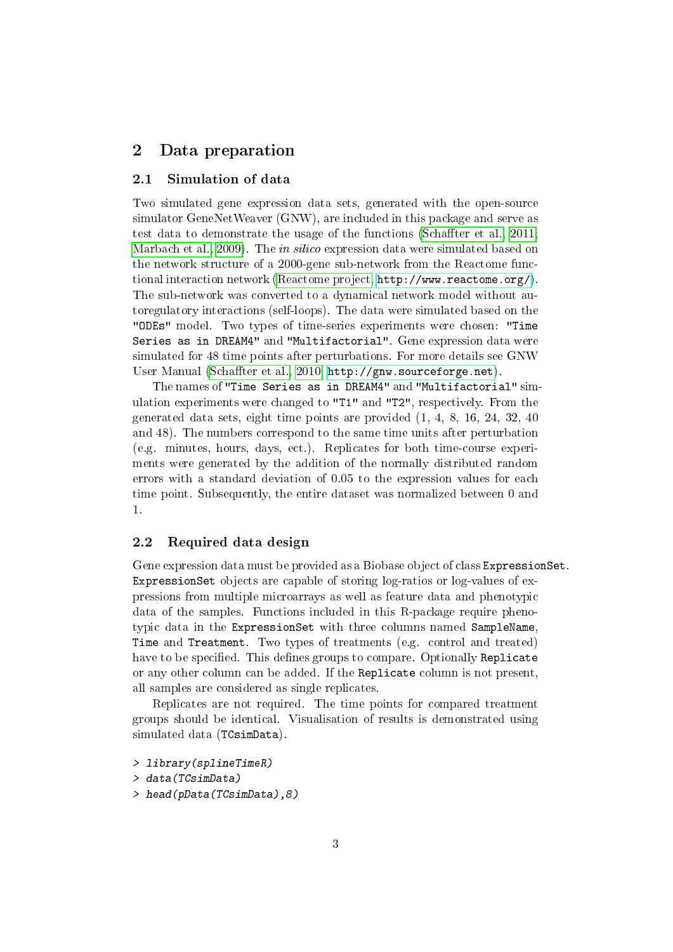# <span id="page-2-0"></span>2 Data preparation

#### <span id="page-2-1"></span>2.1 Simulation of data

Two simulated gene expression data sets, generated with the open-source simulator GeneNetWeaver (GNW), are included in this package and serve as test data to demonstrate the usage of the functions (Schaffter et al., 2011; [Marbach et al., 2009\)](#page-13-2). The *in silico* expression data were simulated based on the network structure of a 2000-gene sub-network from the Reactome functional interaction network [\(Reactome project,](#page-13-3) [http://www.reactome.org/\)](http://www.reactome.org/). The sub-network was converted to a dynamical network model without autoregulatory interactions (self-loops). The data were simulated based on the "ODEs" model. Two types of time-series experiments were chosen: "Time Series as in DREAM4" and "Multifactorial". Gene expression data were simulated for 48 time points after perturbations. For more details see GNW User Manual (Schaffter et al., 2010, [http://gnw.sourceforge.net\)](http://gnw.sourceforge.net).

The names of "Time Series as in DREAM4" and "Multifactorial" simulation experiments were changed to "T1" and "T2", respectively. From the generated data sets, eight time points are provided (1, 4, 8, 16, 24, 32, 40 and 48). The numbers correspond to the same time units after perturbation (e.g. minutes, hours, days, ect.). Replicates for both time-course experiments were generated by the addition of the normally distributed random errors with a standard deviation of 0.05 to the expression values for each time point. Subsequently, the entire dataset was normalized between 0 and 1.

#### <span id="page-2-2"></span>2.2 Required data design

Gene expression data must be provided as a Biobase object of class ExpressionSet. ExpressionSet objects are capable of storing log-ratios or log-values of expressions from multiple microarrays as well as feature data and phenotypic data of the samples. Functions included in this R-package require phenotypic data in the ExpressionSet with three columns named SampleName, Time and Treatment. Two types of treatments (e.g. control and treated) have to be specified. This defines groups to compare. Optionally Replicate or any other column can be added. If the Replicate column is not present, all samples are considered as single replicates.

Replicates are not required. The time points for compared treatment groups should be identical. Visualisation of results is demonstrated using simulated data (TCsimData).

```
> library(splineTimeR)
```

```
> data(TCsimData)
```
> head(pData(TCsimData),8)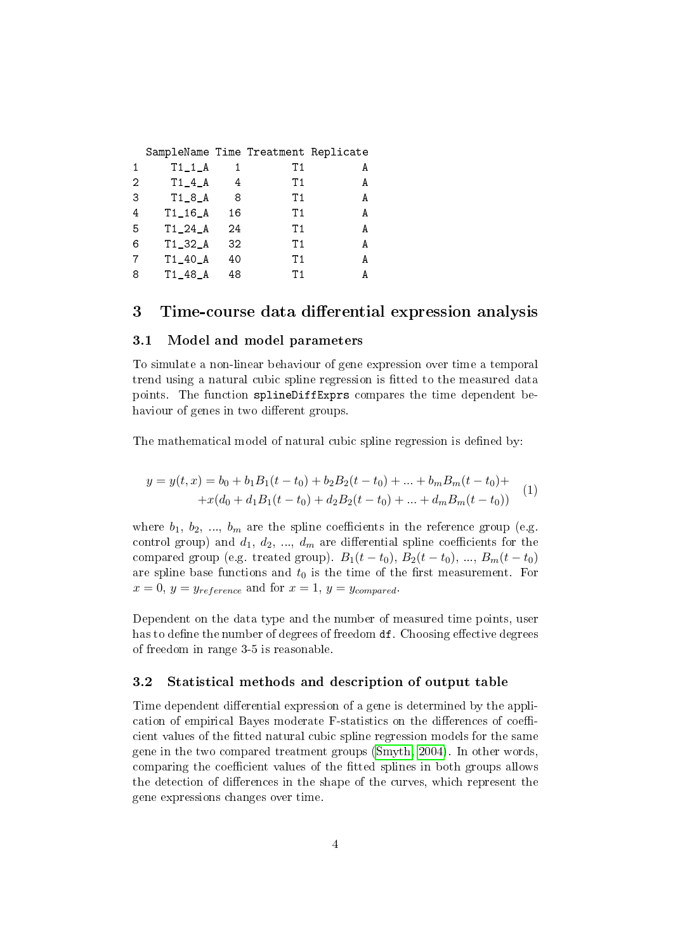|   | SampleName Time Treatment Replicate |    |     |   |
|---|-------------------------------------|----|-----|---|
| 1 | $T1_1_A$                            |    | Τ1  | A |
| 2 | $T1_4_A$                            | 4  | Τ1  | A |
| З | $T1_8_A$                            | 8  | Τ1  | А |
| 4 | $T1_16_A$                           | 16 | Τ1  | А |
| 5 | $T1_24_A$                           | 24 | Τ1  | А |
| 6 | $T1_32_A$                           | 32 | T1. | А |
|   | $T1_40_A$                           | 40 | Τ1  | А |
| 8 | $T1_48_A$                           | 48 | Т1  |   |

# <span id="page-3-0"></span>3 Time-course data differential expression analysis

#### <span id="page-3-1"></span>3.1 Model and model parameters

To simulate a non-linear behaviour of gene expression over time a temporal trend using a natural cubic spline regression is fitted to the measured data points. The function splineDiffExprs compares the time dependent behaviour of genes in two different groups.

The mathematical model of natural cubic spline regression is defined by:

$$
y = y(t, x) = b_0 + b_1 B_1(t - t_0) + b_2 B_2(t - t_0) + \dots + b_m B_m(t - t_0) ++ x(d_0 + d_1 B_1(t - t_0) + d_2 B_2(t - t_0) + \dots + d_m B_m(t - t_0))
$$
 (1)

where  $b_1, b_2, ..., b_m$  are the spline coefficients in the reference group (e.g. control group) and  $d_1, d_2, ..., d_m$  are differential spline coefficients for the compared group (e.g. treated group).  $B_1(t - t_0)$ ,  $B_2(t - t_0)$ , ...,  $B_m(t - t_0)$ are spline base functions and  $t_0$  is the time of the first measurement. For  $x = 0, y = y_{reference}$  and for  $x = 1, y = y_{compared}$ .

Dependent on the data type and the number of measured time points, user has to define the number of degrees of freedom df. Choosing effective degrees of freedom in range 3-5 is reasonable.

## <span id="page-3-2"></span>3.2 Statistical methods and description of output table

Time dependent differential expression of a gene is determined by the application of empirical Bayes moderate F-statistics on the differences of coefficient values of the fitted natural cubic spline regression models for the same gene in the two compared treatment groups [\(Smyth, 2004\)](#page-13-5). In other words, comparing the coefficient values of the fitted splines in both groups allows the detection of differences in the shape of the curves, which represent the gene expressions changes over time.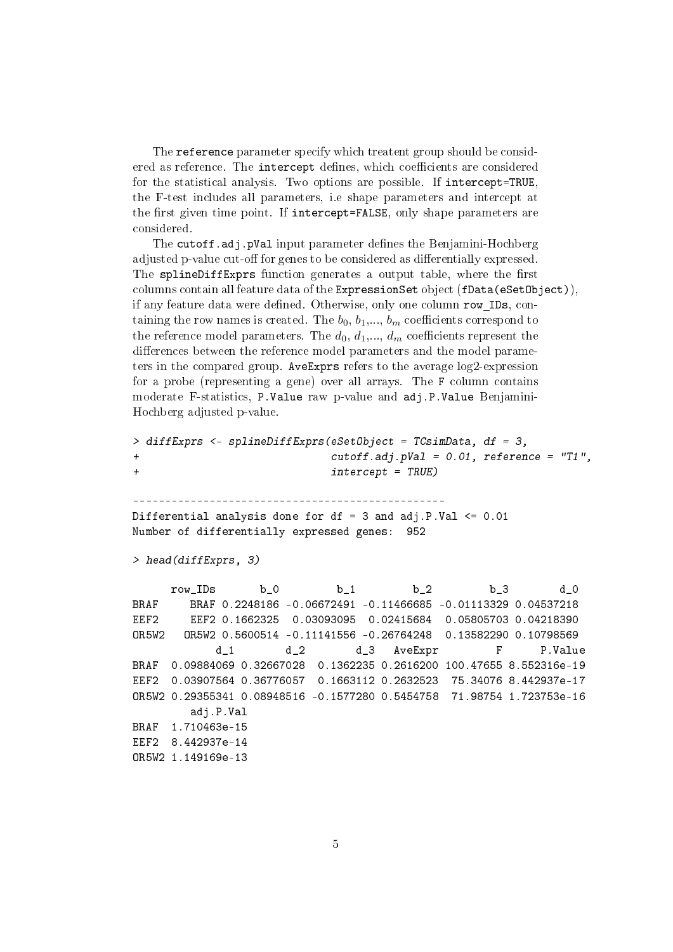The reference parameter specify which treatent group should be considered as reference. The intercept defines, which coefficients are considered for the statistical analysis. Two options are possible. If intercept=TRUE, the F-test includes all parameters, i.e shape parameters and intercept at the first given time point. If intercept=FALSE, only shape parameters are considered.

The cutoff.adj.pVal input parameter defines the Benjamini-Hochberg adjusted p-value cut-off for genes to be considered as differentially expressed. The splineDiffExprs function generates a output table, where the first columns contain all feature data of the ExpressionSet object (fData(eSetObject)), if any feature data were defined. Otherwise, only one column row IDs, containing the row names is created. The  $b_0, b_1, \ldots, b_m$  coefficients correspond to the reference model parameters. The  $d_0, d_1, ..., d_m$  coefficients represent the differences between the reference model parameters and the model parameters in the compared group. AveExprs refers to the average log2-expression for a probe (representing a gene) over all arrays. The F column contains moderate F-statistics, P.Value raw p-value and adj.P.Value Benjamini-Hochberg adjusted p-value.

```
> diffExprs <- splineDiffExprs(eSetObject = TCsimData, df = 3,
+ cutoff.adj.pVal = 0.01, reference = "T1",
+ intercept = TRUE)
                  -------------------------------------------------
Differential analysis done for df = 3 and adj.P.Va1 \le 0.01Number of differentially expressed genes: 952
> head(diffExprs, 3)
     row_IDs b_0 b_1 b_2 b_3 d_0
BRAF BRAF 0.2248186 -0.06672491 -0.11466685 -0.01113329 0.04537218
EEF2 EEF2 0.1662325 0.03093095 0.02415684 0.05805703 0.04218390
OR5W2 OR5W2 0.5600514 -0.11141556 -0.26764248 0.13582290 0.10798569
           d_1 d_2 d_3 AveExpr F P.Value
BRAF 0.09884069 0.32667028 0.1362235 0.2616200 100.47655 8.552316e-19
EEF2 0.03907564 0.36776057 0.1663112 0.2632523 75.34076 8.442937e-17
OR5W2 0.29355341 0.08948516 -0.1577280 0.5454758 71.98754 1.723753e-16
        adj.P.Val
BRAF 1.710463e-15
EEF2 8.442937e-14
OR5W2 1.149169e-13
```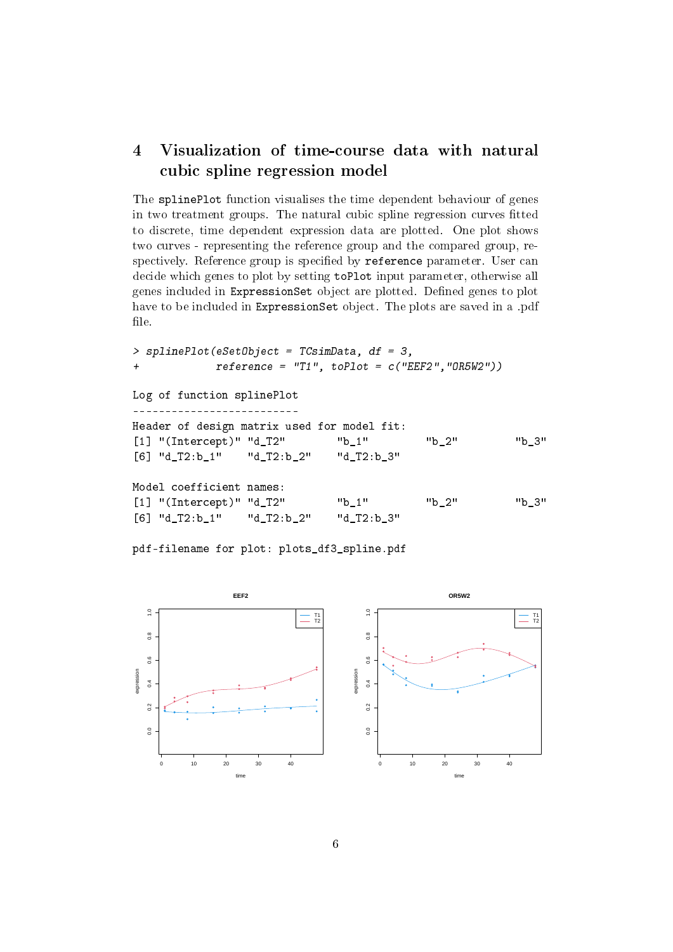# <span id="page-5-0"></span>4 Visualization of time-course data with natural cubic spline regression model

The splinePlot function visualises the time dependent behaviour of genes in two treatment groups. The natural cubic spline regression curves fitted to discrete, time dependent expression data are plotted. One plot shows two curves - representing the reference group and the compared group, respectively. Reference group is specified by reference parameter. User can decide which genes to plot by setting toPlot input parameter, otherwise all genes included in ExpressionSet object are plotted. Defined genes to plot have to be included in ExpressionSet object. The plots are saved in a .pdf file.

```
> splinePlot(eSetObject = TCsimData, df = 3,
+ reference = "T1", toPlot = c("EEF2","OR5W2"))
Log of function splinePlot
            --------------------------
Header of design matrix used for model fit:
[1] "(Intercept)" "d_T2" "b_1" "b_2" "b_3"
[6] "d_T2:b_1" "d_T2:b_2" "d_T2:b_3"
Model coefficient names:
[1] "(Intercept)" "d_T2" "b_1" "b_2" "b_3"
[6] "d_T2:b_1" "d_T2:b_2" "d_T2:b_3"
```
pdf-filename for plot: plots\_df3\_spline.pdf



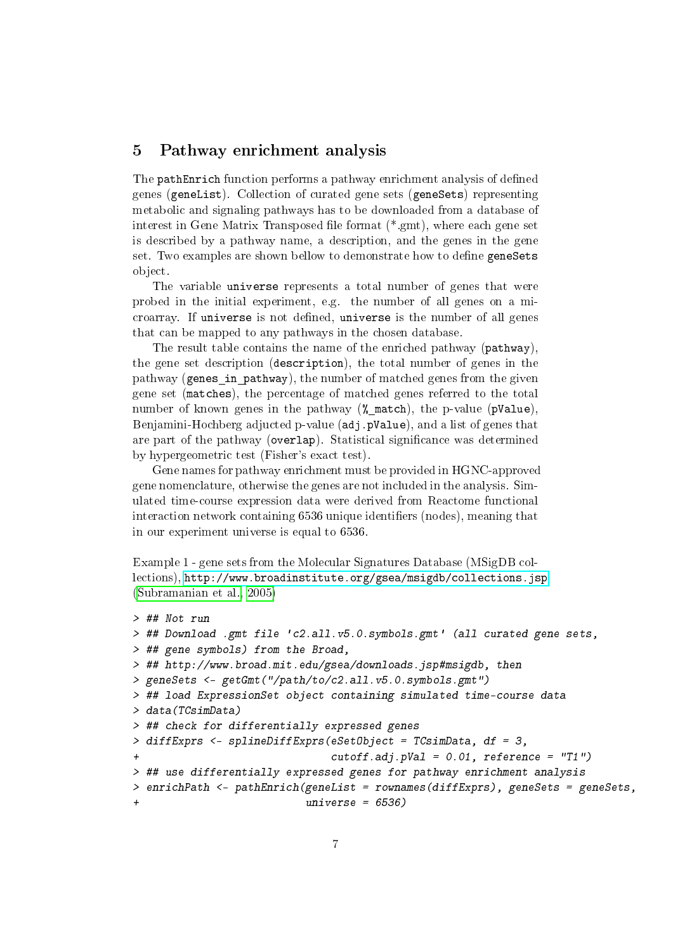# <span id="page-6-0"></span>5 Pathway enrichment analysis

The pathEnrich function performs a pathway enrichment analysis of defined genes (geneList). Collection of curated gene sets (geneSets) representing metabolic and signaling pathways has to be downloaded from a database of interest in Gene Matrix Transposed file format  $(*.gmt)$ , where each gene set is described by a pathway name, a description, and the genes in the gene set. Two examples are shown bellow to demonstrate how to define geneSets object.

The variable universe represents a total number of genes that were probed in the initial experiment, e.g. the number of all genes on a microarray. If universe is not defined, universe is the number of all genes that can be mapped to any pathways in the chosen database.

The result table contains the name of the enriched pathway (pathway), the gene set description (description), the total number of genes in the pathway (genes in pathway), the number of matched genes from the given gene set (matches), the percentage of matched genes referred to the total number of known genes in the pathway (% match), the p-value (pValue), Benjamini-Hochberg adjucted p-value (adj.pValue), and a list of genes that are part of the pathway (overlap). Statistical significance was determined by hypergeometric test (Fisher's exact test).

Gene names for pathway enrichment must be provided in HGNC-approved gene nomenclature, otherwise the genes are not included in the analysis. Simulated time-course expression data were derived from Reactome functional interaction network containing 6536 unique identifiers (nodes), meaning that in our experiment universe is equal to 6536.

Example 1 - gene sets from the Molecular Signatures Database (MSigDB collections), <http://www.broadinstitute.org/gsea/msigdb/collections.jsp> [\(Subramanian et al., 2005\)](#page-14-0)

```
> ## Not run
> ## Download .gmt file 'c2.all.v5.0.symbols.gmt' (all curated gene sets,
> ## gene symbols) from the Broad,
> ## http://www.broad.mit.edu/gsea/downloads.jsp#msigdb, then
> geneSets <- getGmt("/path/to/c2.all.v5.0.symbols.gmt")
> ## load ExpressionSet object containing simulated time-course data
> data(TCsimData)
> ## check for differentially expressed genes
> diffExprs <- splineDiffExprs(eSetObject = TCsimData, df = 3,
                               cutoff.addj.pVal = 0.01, reference = "T1")> ## use differentially expressed genes for pathway enrichment analysis
> enrichPath <- pathEnrich(geneList = rownames(diffExprs), geneSets = geneSets,
                           universe = 6536)
```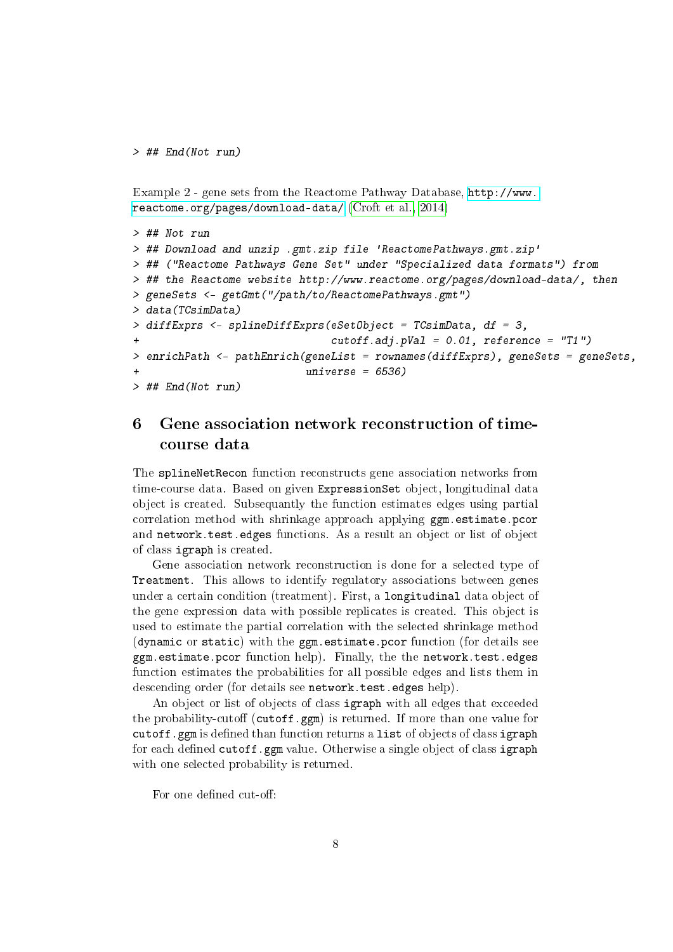```
> ## End(Not run)
```
Example 2 - gene sets from the Reactome Pathway Database, [http://www.](http://www.reactome.org/pages/download-data/) [reactome.org/pages/download-data/](http://www.reactome.org/pages/download-data/) [\(Croft et al., 2014\)](#page-13-6)

```
> ## Not run
> ## Download and unzip .gmt.zip file 'ReactomePathways.gmt.zip'
> ## ("Reactome Pathways Gene Set" under "Specialized data formats") from
> ## the Reactome website http://www.reactome.org/pages/download-data/, then
> geneSets <- getGmt("/path/to/ReactomePathways.gmt")
> data(TCsimData)
> diffExprs <- splineDiffExprs(eSetObject = TCsimData, df = 3,
+ cutoff.adj.pVal = 0.01, reference = "T1")
> enrichPath <- pathEnrich(geneList = rownames(diffExprs), geneSets = geneSets,
+ universe = 6536)
> ## End(Not run)
```
# <span id="page-7-0"></span>6 Gene association network reconstruction of timecourse data

The splineNetRecon function reconstructs gene association networks from time-course data. Based on given ExpressionSet object, longitudinal data object is created. Subsequantly the function estimates edges using partial correlation method with shrinkage approach applying ggm.estimate.pcor and network.test.edges functions. As a result an object or list of object of class igraph is created.

Gene association network reconstruction is done for a selected type of Treatment. This allows to identify regulatory associations between genes under a certain condition (treatment). First, a longitudinal data object of the gene expression data with possible replicates is created. This object is used to estimate the partial correlation with the selected shrinkage method (dynamic or static) with the ggm.estimate.pcor function (for details see ggm.estimate.pcor function help). Finally, the the network.test.edges function estimates the probabilities for all possible edges and lists them in descending order (for details see network.test.edges help).

An object or list of objects of class igraph with all edges that exceeded the probability-cutoff (cutoff.ggm) is returned. If more than one value for cutoff.ggm is defined than function returns a list of objects of class igraph for each defined cutoff.ggm value. Otherwise a single object of class igraph with one selected probability is returned.

For one defined cut-off: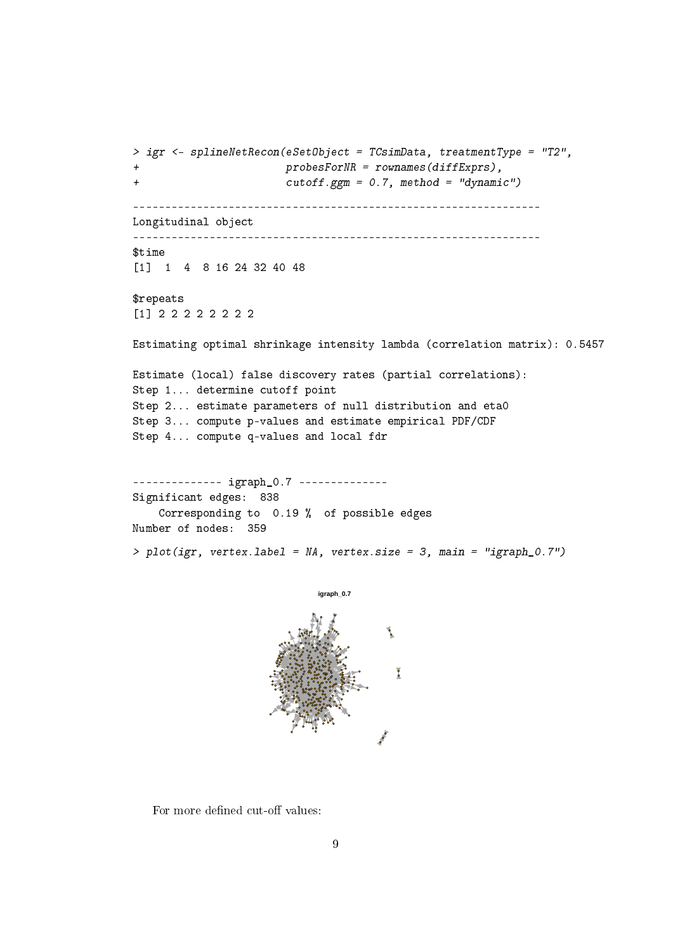```
> igr <- splineNetRecon(eSetObject = TCsimData, treatmentType = "T2",
+ probesForNR = rownames(diffExprs),
+ cutoff.ggm = 0.7, method = "dynamic")
----------------------------------------------------------------
Longitudinal object
----------------------------------------------------------------
$time
[1] 1 4 8 16 24 32 40 48
$repeats
[1] 2 2 2 2 2 2 2 2
Estimating optimal shrinkage intensity lambda (correlation matrix): 0.5457
Estimate (local) false discovery rates (partial correlations):
Step 1... determine cutoff point
Step 2... estimate parameters of null distribution and eta0
Step 3... compute p-values and estimate empirical PDF/CDF
Step 4... compute q-values and local fdr
-------------- igraph_0.7 --------------
Significant edges: 838
   Corresponding to 0.19 % of possible edges
Number of nodes: 359
> plot(igr, vertex.label = NA, vertex.size = 3, main = "igraph_0.7")
```


For more defined cut-off values: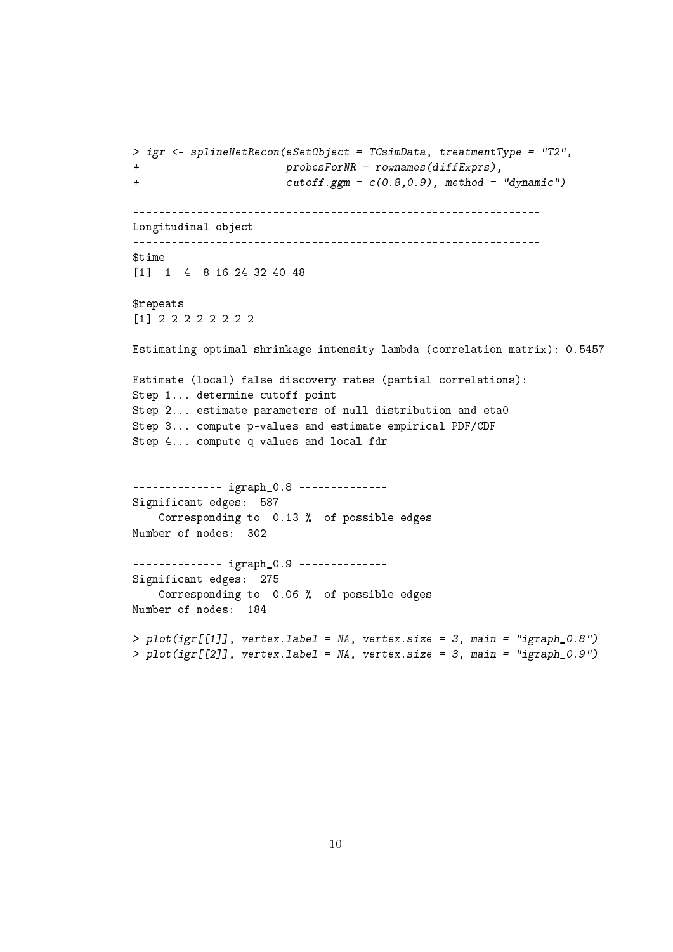```
> igr <- splineNetRecon(eSetObject = TCsimData, treatmentType = "T2",
+ probesForNR = rownames(diffExprs),
+ cutoff.ggm = c(0.8,0.9), method = "dynamic")
----------------------------------------------------------------
Longitudinal object
----------------------------------------------------------------
$time
[1] 1 4 8 16 24 32 40 48
$repeats
[1] 2 2 2 2 2 2 2 2
Estimating optimal shrinkage intensity lambda (correlation matrix): 0.5457
Estimate (local) false discovery rates (partial correlations):
Step 1... determine cutoff point
Step 2... estimate parameters of null distribution and eta0
Step 3... compute p-values and estimate empirical PDF/CDF
Step 4... compute q-values and local fdr
-------------- igraph_0.8 --------------
Significant edges: 587
   Corresponding to 0.13 % of possible edges
Number of nodes: 302
-------------- igraph_0.9 --------------
Significant edges: 275
   Corresponding to 0.06 % of possible edges
Number of nodes: 184
> plot(igr[[1]], vertex. label = NA, vertex.size = 3, main = "igraph_0.8")> plot(igr[[2]], vertex.label = NA, vertex.size = 3, main = "igraph_0.9")
```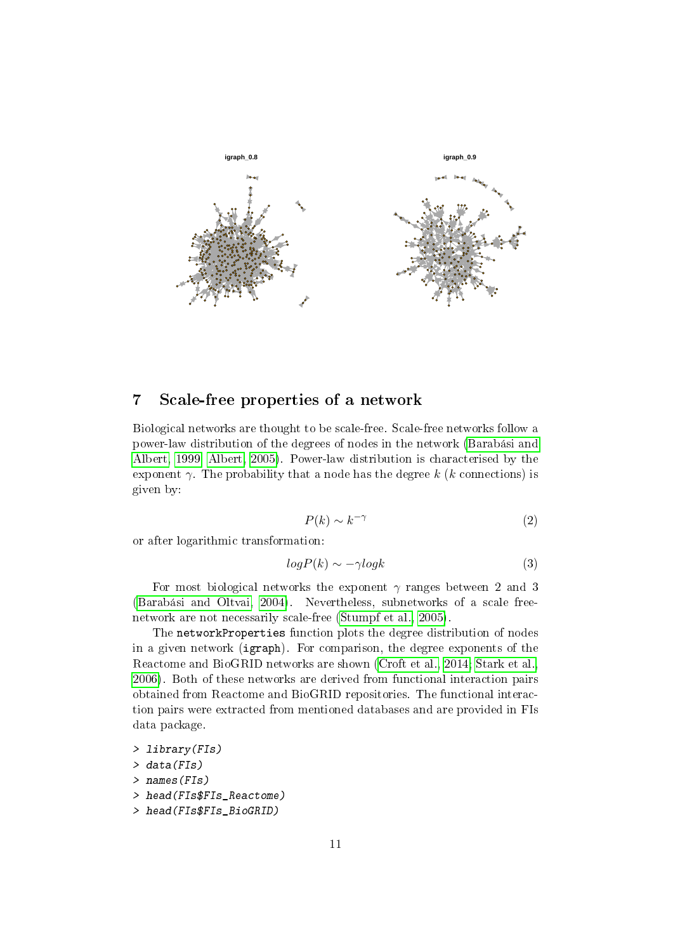

# <span id="page-10-0"></span>7 Scale-free properties of a network

Biological networks are thought to be scale-free. Scale-free networks follow a power-law distribution of the degrees of nodes in the network [\(Barabási and](#page-13-7) [Albert, 1999;](#page-13-7) [Albert, 2005\)](#page-13-8). Power-law distribution is characterised by the exponent  $\gamma$ . The probability that a node has the degree k (k connections) is given by:

$$
P(k) \sim k^{-\gamma} \tag{2}
$$

or after logarithmic transformation:

$$
log P(k) \sim -\gamma log k \tag{3}
$$

For most biological networks the exponent  $\gamma$  ranges between 2 and 3 [\(Barabási and Oltvai, 2004\)](#page-13-9). Nevertheless, subnetworks of a scale freenetwork are not necessarily scale-free [\(Stumpf et al., 2005\)](#page-13-10).

The networkProperties function plots the degree distribution of nodes in a given network (igraph). For comparison, the degree exponents of the Reactome and BioGRID networks are shown [\(Croft et al., 2014;](#page-13-6) [Stark et al.,](#page-13-11) [2006\)](#page-13-11). Both of these networks are derived from functional interaction pairs obtained from Reactome and BioGRID repositories. The functional interaction pairs were extracted from mentioned databases and are provided in FIs data package.

> library(FIs)

> data(FIs)

> names(FIs)

- > head(FIs\$FIs\_Reactome)
- > head(FIs\$FIs BioGRID)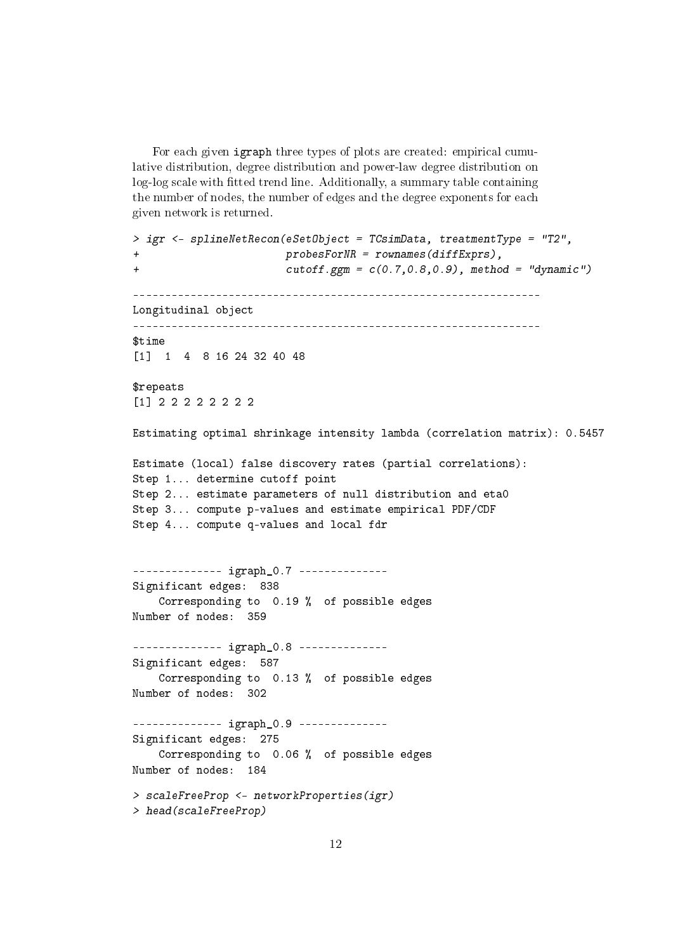For each given igraph three types of plots are created: empirical cumulative distribution, degree distribution and power-law degree distribution on log-log scale with fitted trend line. Additionally, a summary table containing the number of nodes, the number of edges and the degree exponents for each given network is returned.

```
> igr <- splineNetRecon(eSetObject = TCsimData, treatmentType = "T2",
+ probesForNR = rownames(diffExprs),
+ cutoff.ggm = c(0.7,0.8,0.9), method = "dynamic")
----------------------------------------------------------------
Longitudinal object
----------------------------------------------------------------
$time
[1] 1 4 8 16 24 32 40 48
$repeats
[1] 2 2 2 2 2 2 2 2
Estimating optimal shrinkage intensity lambda (correlation matrix): 0.5457
Estimate (local) false discovery rates (partial correlations):
Step 1... determine cutoff point
Step 2... estimate parameters of null distribution and eta0
Step 3... compute p-values and estimate empirical PDF/CDF
Step 4... compute q-values and local fdr
-------------- igraph_0.7 --------------
Significant edges: 838
   Corresponding to 0.19 % of possible edges
Number of nodes: 359
-------------- igraph_0.8 --------------
Significant edges: 587
   Corresponding to 0.13 % of possible edges
Number of nodes: 302
-------------- igraph_0.9 --------------
Significant edges: 275
   Corresponding to 0.06 % of possible edges
Number of nodes: 184
> scaleFreeProp <- networkProperties(igr)
> head(scaleFreeProp)
```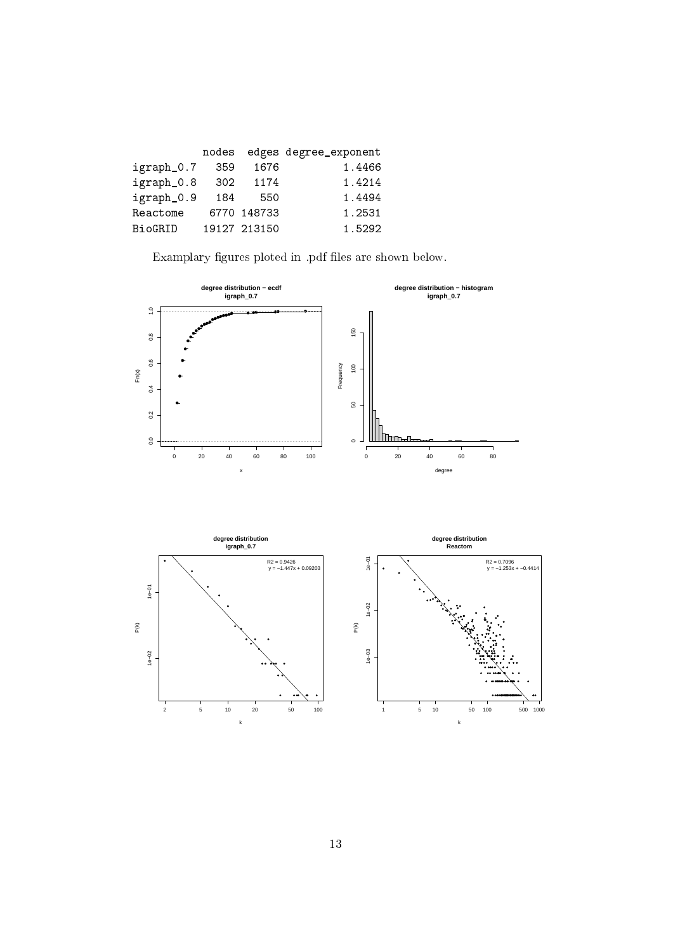|            | nodes |              | edges degree_exponent |
|------------|-------|--------------|-----------------------|
| igraph_0.7 | 359   | 1676         | 1.4466                |
| igraph_0.8 | 302   | 1174         | 1.4214                |
| igraph_0.9 | 184   | 550          | 1.4494                |
| Reactome   |       | 6770 148733  | 1.2531                |
| BioGRID    |       | 19127 213150 | 1.5292                |

Examplary figures ploted in .pdf files are shown below.

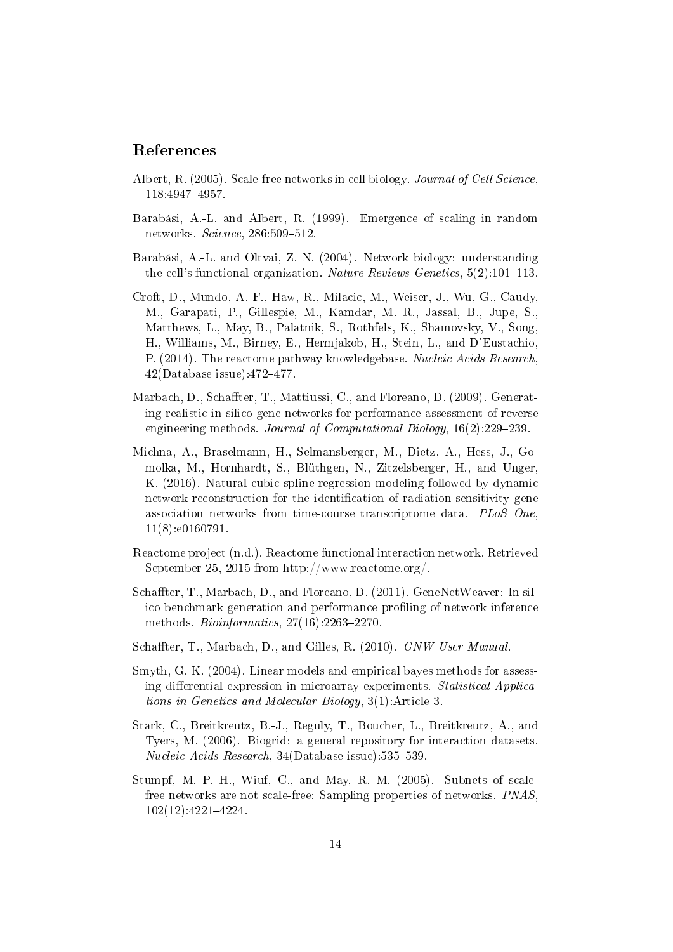# References

- <span id="page-13-8"></span>Albert, R. (2005). Scale-free networks in cell biology. Journal of Cell Science, 118:49474957.
- <span id="page-13-7"></span>Barabási, A.-L. and Albert, R. (1999). Emergence of scaling in random networks.  $Science$ ,  $286:509-512$ .
- <span id="page-13-9"></span>Barabási, A.-L. and Oltvai, Z. N. (2004). Network biology: understanding the cell's functional organization. Nature Reviews Genetics,  $5(2)$ :101-113.
- <span id="page-13-6"></span>Croft, D., Mundo, A. F., Haw, R., Milacic, M., Weiser, J., Wu, G., Caudy, M., Garapati, P., Gillespie, M., Kamdar, M. R., Jassal, B., Jupe, S. Matthews, L., May, B., Palatnik, S., Rothfels, K., Shamovsky, V., Song, H., Williams, M., Birney, E., Hermjakob, H., Stein, L., and D'Eustachio, P. (2014). The reactome pathway knowledgebase. Nucleic Acids Research,  $42(Database issue):472-477.$
- <span id="page-13-2"></span>Marbach, D., Schaffter, T., Mattiussi, C., and Floreano, D. (2009). Generating realistic in silico gene networks for performance assessment of reverse engineering methods. Journal of Computational Biology,  $16(2)$ :229-239.
- <span id="page-13-0"></span>Michna, A., Braselmann, H., Selmansberger, M., Dietz, A., Hess, J., Gomolka, M., Hornhardt, S., Blüthgen, N., Zitzelsberger, H., and Unger, K. (2016). Natural cubic spline regression modeling followed by dynamic network reconstruction for the identification of radiation-sensitivity gene association networks from time-course transcriptome data. PLoS One, 11(8):e0160791.
- <span id="page-13-3"></span>Reactome project (n.d.). Reactome functional interaction network. Retrieved September 25, 2015 from http://www.reactome.org/.
- <span id="page-13-1"></span>Schaffter, T., Marbach, D., and Floreano, D. (2011). GeneNetWeaver: In silico benchmark generation and performance profiling of network inference methods. Bioinformatics,  $27(16)$ :2263-2270.
- <span id="page-13-4"></span>Schaffter, T., Marbach, D., and Gilles, R. (2010). GNW User Manual.
- <span id="page-13-5"></span>Smyth, G. K. (2004). Linear models and empirical bayes methods for assessing differential expression in microarray experiments. Statistical Applications in Genetics and Molecular Biology, 3(1):Article 3.
- <span id="page-13-11"></span>Stark, C., Breitkreutz, B.-J., Reguly, T., Boucher, L., Breitkreutz, A., and Tyers, M. (2006). Biogrid: a general repository for interaction datasets. Nucleic Acids Research,  $34(D \text{ database issue})$ :535-539.
- <span id="page-13-10"></span>Stumpf, M. P. H., Wiuf, C., and May, R. M. (2005). Subnets of scalefree networks are not scale-free: Sampling properties of networks. *PNAS*, 102(12):4221-4224.